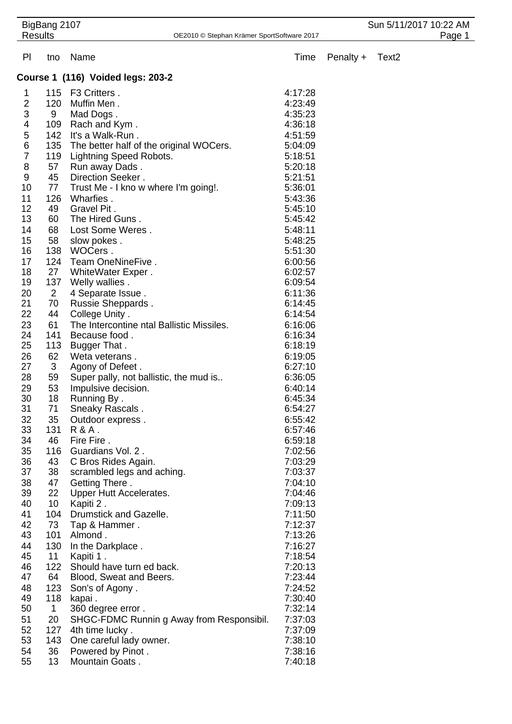|                                   | BigBang 2107<br><b>Results</b><br>OE2010 © Stephan Krämer SportSoftware 2017 |                                           |         | Sun 5/11/2017 10:22 AM<br>Page 1 |                   |  |
|-----------------------------------|------------------------------------------------------------------------------|-------------------------------------------|---------|----------------------------------|-------------------|--|
| PI                                | tno                                                                          | Name                                      | Time    | Penalty +                        | Text <sub>2</sub> |  |
| Course 1 (116) Voided legs: 203-2 |                                                                              |                                           |         |                                  |                   |  |
| 1                                 | 115                                                                          | F3 Critters.                              | 4:17:28 |                                  |                   |  |
| $\overline{2}$                    | 120                                                                          | Muffin Men.                               | 4:23:49 |                                  |                   |  |
| $\ensuremath{\mathsf{3}}$         | 9                                                                            | Mad Dogs.                                 | 4:35:23 |                                  |                   |  |
| 4                                 | 109                                                                          | Rach and Kym.                             | 4:36:18 |                                  |                   |  |
| 5                                 | 142                                                                          | It's a Walk-Run.                          | 4:51:59 |                                  |                   |  |
| 6                                 | 135                                                                          | The better half of the original WOCers.   | 5:04:09 |                                  |                   |  |
| $\overline{7}$                    | 119                                                                          | Lightning Speed Robots.                   | 5:18:51 |                                  |                   |  |
| 8                                 | 57                                                                           | Run away Dads.                            | 5:20:18 |                                  |                   |  |
| 9                                 | 45                                                                           | Direction Seeker.                         | 5:21:51 |                                  |                   |  |
| 10                                | 77                                                                           | Trust Me - I kno w where I'm going!.      | 5:36:01 |                                  |                   |  |
| 11                                | 126                                                                          | Wharfies.                                 | 5:43:36 |                                  |                   |  |
| 12                                | 49                                                                           | Gravel Pit.                               | 5:45:10 |                                  |                   |  |
| 13                                | 60                                                                           | The Hired Guns.                           | 5:45:42 |                                  |                   |  |
| 14                                | 68                                                                           | Lost Some Weres.                          | 5:48:11 |                                  |                   |  |
| 15                                | 58                                                                           | slow pokes.                               | 5:48:25 |                                  |                   |  |
| 16                                | 138                                                                          | WOCers.                                   | 5:51:30 |                                  |                   |  |
| 17                                | 124                                                                          | Team OneNineFive.                         | 6:00:56 |                                  |                   |  |
| 18                                | 27                                                                           | WhiteWater Exper.                         | 6:02:57 |                                  |                   |  |
| 19                                | 137                                                                          | Welly wallies.                            | 6:09:54 |                                  |                   |  |
| 20                                | $\overline{2}$                                                               | 4 Separate Issue.                         | 6:11:36 |                                  |                   |  |
| 21                                | 70                                                                           | Russie Sheppards.                         | 6:14:45 |                                  |                   |  |
| 22                                | 44                                                                           | College Unity .                           | 6:14:54 |                                  |                   |  |
| 23                                | 61                                                                           | The Intercontine ntal Ballistic Missiles. | 6:16:06 |                                  |                   |  |
| 24                                | 141                                                                          | Because food.                             | 6:16:34 |                                  |                   |  |
| 25                                | 113                                                                          | Bugger That.                              | 6:18:19 |                                  |                   |  |
| 26                                | 62                                                                           | Weta veterans.                            | 6:19:05 |                                  |                   |  |
| 27                                | 3                                                                            | Agony of Defeet.                          | 6:27:10 |                                  |                   |  |
| 28                                | 59                                                                           | Super pally, not ballistic, the mud is    | 6:36:05 |                                  |                   |  |
| 29                                | 53                                                                           | Impulsive decision.                       | 6:40:14 |                                  |                   |  |
| 30                                | 18                                                                           | Running By.                               | 6:45:34 |                                  |                   |  |
| 31                                | 71                                                                           | Sneaky Rascals.                           | 6:54:27 |                                  |                   |  |
| 32                                | 35                                                                           | Outdoor express.                          | 6:55:42 |                                  |                   |  |
| 33                                | 131                                                                          | $R$ & $A$ .                               | 6:57:46 |                                  |                   |  |
| 34                                | 46                                                                           | Fire Fire.                                | 6:59:18 |                                  |                   |  |
| 35                                | 116                                                                          | Guardians Vol. 2.                         | 7:02:56 |                                  |                   |  |
| 36                                | 43                                                                           | C Bros Rides Again.                       | 7:03:29 |                                  |                   |  |
| 37                                | 38                                                                           | scrambled legs and aching.                | 7:03:37 |                                  |                   |  |
| 38                                | 47                                                                           | Getting There.                            | 7:04:10 |                                  |                   |  |
| 39                                | 22                                                                           | Upper Hutt Accelerates.                   | 7:04:46 |                                  |                   |  |
| 40                                | 10                                                                           | Kapiti 2.                                 | 7:09:13 |                                  |                   |  |
| 41                                | 104                                                                          | Drumstick and Gazelle.                    | 7:11:50 |                                  |                   |  |
| 42                                | 73                                                                           | Tap & Hammer.                             | 7:12:37 |                                  |                   |  |
| 43                                | 101                                                                          | Almond.                                   | 7:13:26 |                                  |                   |  |
| 44                                | 130                                                                          | In the Darkplace.                         | 7:16:27 |                                  |                   |  |
| 45                                | 11                                                                           | Kapiti 1.                                 | 7:18:54 |                                  |                   |  |
| 46                                | 122                                                                          | Should have turn ed back.                 | 7:20:13 |                                  |                   |  |
| 47                                | 64                                                                           | Blood, Sweat and Beers.                   | 7:23:44 |                                  |                   |  |
| 48                                | 123                                                                          | Son's of Agony.                           | 7:24:52 |                                  |                   |  |
| 49                                | 118                                                                          | kapai.                                    | 7:30:40 |                                  |                   |  |
| 50                                | $\mathbf 1$                                                                  | 360 degree error.                         | 7:32:14 |                                  |                   |  |
| 51                                | 20                                                                           | SHGC-FDMC Runnin g Away from Responsibil. | 7:37:03 |                                  |                   |  |
| 52                                | 127                                                                          | 4th time lucky.                           | 7:37:09 |                                  |                   |  |
| 53                                | 143                                                                          | One careful lady owner.                   | 7:38:10 |                                  |                   |  |
| 54                                | 36                                                                           | Powered by Pinot.                         | 7:38:16 |                                  |                   |  |
| 55                                | 13                                                                           | Mountain Goats.                           | 7:40:18 |                                  |                   |  |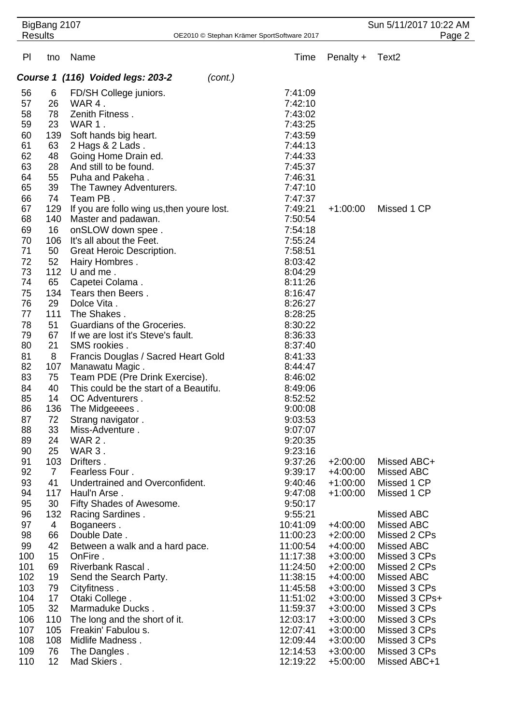| BigBang 2107<br><b>Results</b><br>OE2010 © Stephan Krämer SportSoftware 2017 |                |                                            | Sun 5/11/2017 10:22 AM<br>Page 2 |                          |                              |  |  |
|------------------------------------------------------------------------------|----------------|--------------------------------------------|----------------------------------|--------------------------|------------------------------|--|--|
|                                                                              |                |                                            |                                  |                          |                              |  |  |
| PI                                                                           | tno            | Name                                       | Time                             | Penalty +                | Text <sub>2</sub>            |  |  |
| Course 1 (116) Voided legs: 203-2<br>(cont.)                                 |                |                                            |                                  |                          |                              |  |  |
| 56                                                                           | 6              | FD/SH College juniors.                     | 7:41:09                          |                          |                              |  |  |
| 57                                                                           | 26             | WAR 4.                                     | 7:42:10                          |                          |                              |  |  |
| 58                                                                           | 78             | Zenith Fitness.                            | 7:43:02                          |                          |                              |  |  |
| 59                                                                           | 23             | WAR 1.                                     | 7:43:25                          |                          |                              |  |  |
| 60                                                                           | 139            | Soft hands big heart.                      | 7:43:59                          |                          |                              |  |  |
| 61                                                                           | 63             | 2 Hags & 2 Lads.                           | 7:44:13                          |                          |                              |  |  |
| 62                                                                           | 48             | Going Home Drain ed.                       | 7:44:33                          |                          |                              |  |  |
| 63                                                                           | 28             | And still to be found.                     | 7:45:37                          |                          |                              |  |  |
| 64                                                                           | 55             | Puha and Pakeha.                           | 7:46:31                          |                          |                              |  |  |
| 65                                                                           | 39             | The Tawney Adventurers.                    | 7:47:10                          |                          |                              |  |  |
| 66                                                                           | 74             | Team PB.                                   | 7:47:37                          |                          |                              |  |  |
| 67                                                                           | 129            | If you are follo wing us, then youre lost. | 7:49:21                          | $+1:00:00$               | Missed 1 CP                  |  |  |
| 68                                                                           | 140            | Master and padawan.                        | 7:50:54                          |                          |                              |  |  |
| 69                                                                           | 16             | onSLOW down spee.                          | 7:54:18                          |                          |                              |  |  |
| 70                                                                           | 106            | It's all about the Feet.                   | 7:55:24                          |                          |                              |  |  |
| 71                                                                           | 50             | Great Heroic Description.                  | 7:58:51                          |                          |                              |  |  |
| 72                                                                           | 52             | Hairy Hombres.                             | 8:03:42                          |                          |                              |  |  |
| 73                                                                           | 112            | U and me.                                  | 8:04:29                          |                          |                              |  |  |
| 74                                                                           | 65             | Capetei Colama.                            | 8:11:26                          |                          |                              |  |  |
| 75<br>76                                                                     | 134<br>29      | Tears then Beers.<br>Dolce Vita.           | 8:16:47<br>8:26:27               |                          |                              |  |  |
| 77                                                                           | 111            | The Shakes.                                | 8:28:25                          |                          |                              |  |  |
| 78                                                                           | 51             | Guardians of the Groceries.                | 8:30:22                          |                          |                              |  |  |
| 79                                                                           | 67             | If we are lost it's Steve's fault.         | 8:36:33                          |                          |                              |  |  |
| 80                                                                           | 21             | SMS rookies.                               | 8:37:40                          |                          |                              |  |  |
| 81                                                                           | 8              | Francis Douglas / Sacred Heart Gold        | 8:41:33                          |                          |                              |  |  |
| 82                                                                           | 107            | Manawatu Magic.                            | 8:44:47                          |                          |                              |  |  |
| 83                                                                           | 75             | Team PDE (Pre Drink Exercise).             | 8:46:02                          |                          |                              |  |  |
| 84                                                                           | 40             | This could be the start of a Beautifu.     | 8:49:06                          |                          |                              |  |  |
| 85                                                                           | 14             | OC Adventurers.                            | 8:52:52                          |                          |                              |  |  |
| 86                                                                           | 136            | The Midgeeees.                             | 9:00:08                          |                          |                              |  |  |
| 87                                                                           | 72             | Strang navigator.                          | 9:03:53                          |                          |                              |  |  |
| 88                                                                           | 33             | Miss-Adventure.                            | 9:07:07                          |                          |                              |  |  |
| 89                                                                           | 24             | WAR 2.                                     | 9:20:35                          |                          |                              |  |  |
| 90                                                                           | 25             | WAR 3.                                     | 9:23:16                          |                          |                              |  |  |
| 91                                                                           | 103            | Drifters.                                  | 9:37:26                          | $+2:00:00$               | Missed ABC+                  |  |  |
| 92                                                                           | $\overline{7}$ | Fearless Four.                             | 9:39:17                          | $+4:00:00$               | Missed ABC                   |  |  |
| 93                                                                           | 41             | Undertrained and Overconfident.            | 9:40:46                          | $+1:00:00$               | Missed 1 CP                  |  |  |
| 94                                                                           | 117            | Haul'n Arse.                               | 9:47:08                          | $+1:00:00$               | Missed 1 CP                  |  |  |
| 95                                                                           | 30             | Fifty Shades of Awesome.                   | 9:50:17                          |                          |                              |  |  |
| 96                                                                           | 132            | Racing Sardines.                           | 9:55:21                          |                          | <b>Missed ABC</b>            |  |  |
| 97                                                                           | 4              | Boganeers.                                 | 10:41:09                         | $+4:00:00$               | Missed ABC                   |  |  |
| 98                                                                           | 66             | Double Date.                               | 11:00:23                         | $+2:00:00$               | Missed 2 CPs                 |  |  |
| 99<br>100                                                                    | 42<br>15       | Between a walk and a hard pace.            | 11:00:54                         | $+4:00:00$               | Missed ABC                   |  |  |
| 101                                                                          | 69             | OnFire.<br>Riverbank Rascal.               | 11:17:38<br>11:24:50             | $+3:00:00$<br>$+2:00:00$ | Missed 3 CPs<br>Missed 2 CPs |  |  |
| 102                                                                          | 19             | Send the Search Party.                     | 11:38:15                         | +4:00:00                 | Missed ABC                   |  |  |
| 103                                                                          | 79             | Cityfitness.                               | 11:45:58                         | $+3:00:00$               | Missed 3 CPs                 |  |  |
| 104                                                                          | 17             | Otaki College.                             | 11:51:02                         | $+3:00:00$               | Missed 3 CPs+                |  |  |
| 105                                                                          | 32             | Marmaduke Ducks.                           | 11:59:37                         | $+3:00:00$               | Missed 3 CPs                 |  |  |
| 106                                                                          | 110            | The long and the short of it.              | 12:03:17                         | $+3:00:00$               | Missed 3 CPs                 |  |  |
| 107                                                                          | 105            | Freakin' Fabulou s.                        | 12:07:41                         | $+3:00:00$               | Missed 3 CPs                 |  |  |
| 108                                                                          | 108            | Midlife Madness.                           | 12:09:44                         | $+3:00:00$               | Missed 3 CPs                 |  |  |
| 109                                                                          | 76             | The Dangles.                               | 12:14:53                         | $+3:00:00$               | Missed 3 CPs                 |  |  |
| 110                                                                          | 12             | Mad Skiers.                                | 12:19:22                         | $+5:00:00$               | Missed ABC+1                 |  |  |